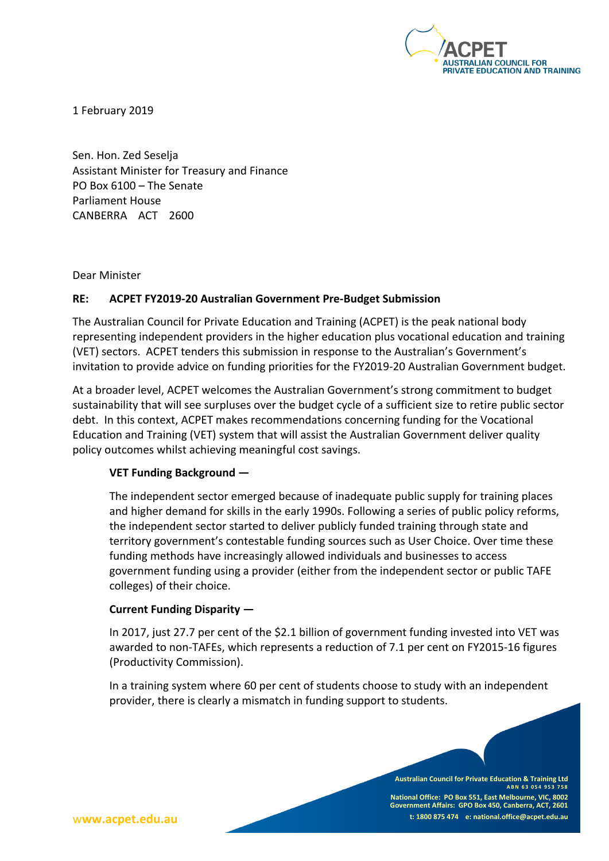

1 February 2019

Sen. Hon. Zed Seselja Assistant Minister for Treasury and Finance PO Box 6100 – The Senate Parliament House CANBERRA ACT 2600

Dear Minister

### **RE: ACPET FY2019-20 Australian Government Pre-Budget Submission**

The Australian Council for Private Education and Training (ACPET) is the peak national body representing independent providers in the higher education plus vocational education and training (VET) sectors. ACPET tenders this submission in response to the Australian's Government's invitation to provide advice on funding priorities for the FY2019-20 Australian Government budget.

At a broader level, ACPET welcomes the Australian Government's strong commitment to budget sustainability that will see surpluses over the budget cycle of a sufficient size to retire public sector debt. In this context, ACPET makes recommendations concerning funding for the Vocational Education and Training (VET) system that will assist the Australian Government deliver quality policy outcomes whilst achieving meaningful cost savings.

#### **VET Funding Background —**

The independent sector emerged because of inadequate public supply for training places and higher demand for skills in the early 1990s. Following a series of public policy reforms, the independent sector started to deliver publicly funded training through state and territory government's contestable funding sources such as User Choice. Over time these funding methods have increasingly allowed individuals and businesses to access government funding using a provider (either from the independent sector or public TAFE colleges) of their choice.

### **Current Funding Disparity —**

In 2017, just 27.7 per cent of the \$2.1 billion of government funding invested into VET was awarded to non-TAFEs, which represents a reduction of 7.1 per cent on FY2015-16 figures (Productivity Commission).

In a training system where 60 per cent of students choose to study with an independent provider, there is clearly a mismatch in funding support to students.

> **Australian Council for Private Education & Training Ltd ABN 63 054 953 7 5 8 National Office: PO Box 551, East Melbourne, VIC, 8002 Government Affairs: GPO Box 450, Canberra, ACT, 2601 t: 1800 875 474 e: national.office@acpet.edu.au**